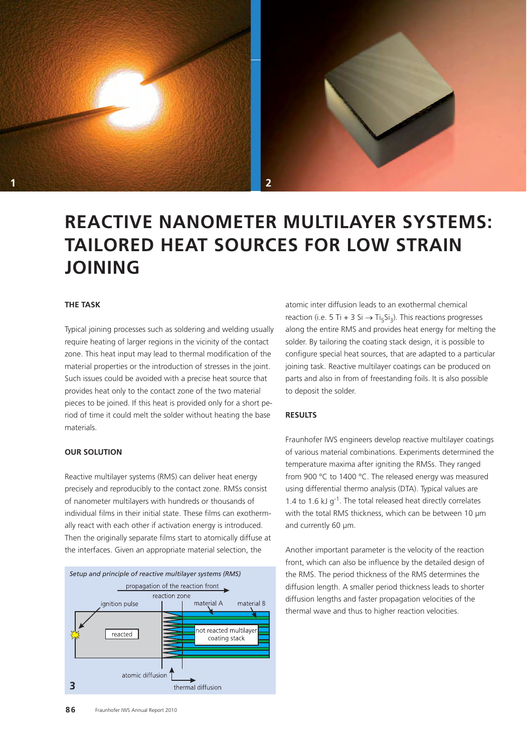



# **REACTIVE NANOMETER MULTILAYER SYSTEMS: TAILORED HEAT SOURCES FOR LOW STRAIN JOINING**

#### **THE TASK**

Typical joining processes such as soldering and welding usually require heating of larger regions in the vicinity of the contact zone. This heat input may lead to thermal modification of the material properties or the introduction of stresses in the joint. Such issues could be avoided with a precise heat source that provides heat only to the contact zone of the two material pieces to be joined. If this heat is provided only for a short period of time it could melt the solder without heating the base materials.

#### **OUR SOLUTION**

Reactive multilayer systems (RMS) can deliver heat energy precisely and reproducibly to the contact zone. RMSs consist of nanometer multilayers with hundreds or thousands of individual films in their initial state. These films can exothermally react with each other if activation energy is introduced. Then the originally separate films start to atomically diffuse at the interfaces. Given an appropriate material selection, the



atomic inter diffusion leads to an exothermal chemical reaction (i.e. 5 Ti + 3 Si  $\rightarrow$  Ti<sub>5</sub>Si<sub>3</sub>). This reactions progresses along the entire RMS and provides heat energy for melting the solder. By tailoring the coating stack design, it is possible to configure special heat sources, that are adapted to a particular joining task. Reactive multilayer coatings can be produced on parts and also in from of freestanding foils. It is also possible to deposit the solder.

## **RESULTS**

Fraunhofer IWS engineers develop reactive multilayer coatings of various material combinations. Experiments determined the temperature maxima after igniting the RMSs. They ranged from 900 °C to 1400 °C. The released energy was measured using differential thermo analysis (DTA). Typical values are 1.4 to 1.6 kJ  $q^{-1}$ . The total released heat directly correlates with the total RMS thickness, which can be between 10 μm and currently 60 μm.

Another important parameter is the velocity of the reaction front, which can also be influence by the detailed design of the RMS. The period thickness of the RMS determines the diffusion length. A smaller period thickness leads to shorter diffusion lengths and faster propagation velocities of the thermal wave and thus to higher reaction velocities.